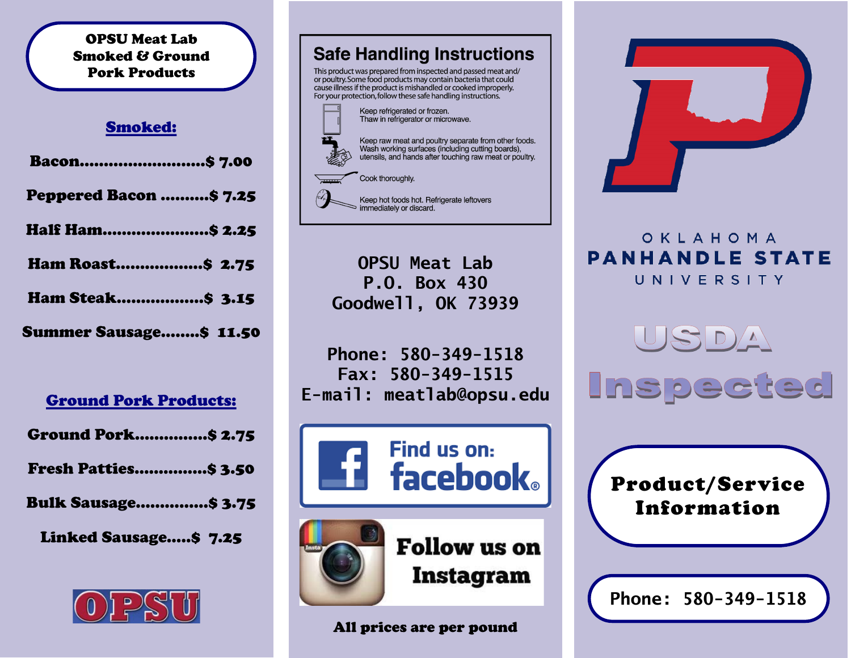#### OPSU Meat Lab Smoked & Ground Pork Products

#### Smoked:

| Bacon\$ 7.00            |  |
|-------------------------|--|
| Peppered Bacon \$ 7.25  |  |
| <b>Half Ham \$ 2.25</b> |  |
| <b>Ham Roast\$ 2.75</b> |  |
| Ham Steak \$ 3.15       |  |
| Summer Sausage\$ 11.50  |  |

## Ground Pork Products:

Ground Pork……………\$ 2.75

- Fresh Patties……………\$ 3.50
- Bulk Sausage……………\$ 3.75

Linked Sausage…..\$ 7.25





cause illness if the product is mishandled or cooked improperly. For your protection, follow these safe handling instructions.



Keep hot foods hot. Refrigerate leftovers  $\Rightarrow$  immediately or discard.

**OPSU Meat Lab P.O. Box 430 Goodwell, OK 73939**

**Phone: 580-349-1518 Fax: 580-349-1515 E-mail: meatlab@opsu.edu**





**Follow** us on Instagram

## All prices are per pound



# OKLAHOMA **PANHANDLE STATE** UNIVERSITY

**Inspected** 



**Phone: 580-349-1518**